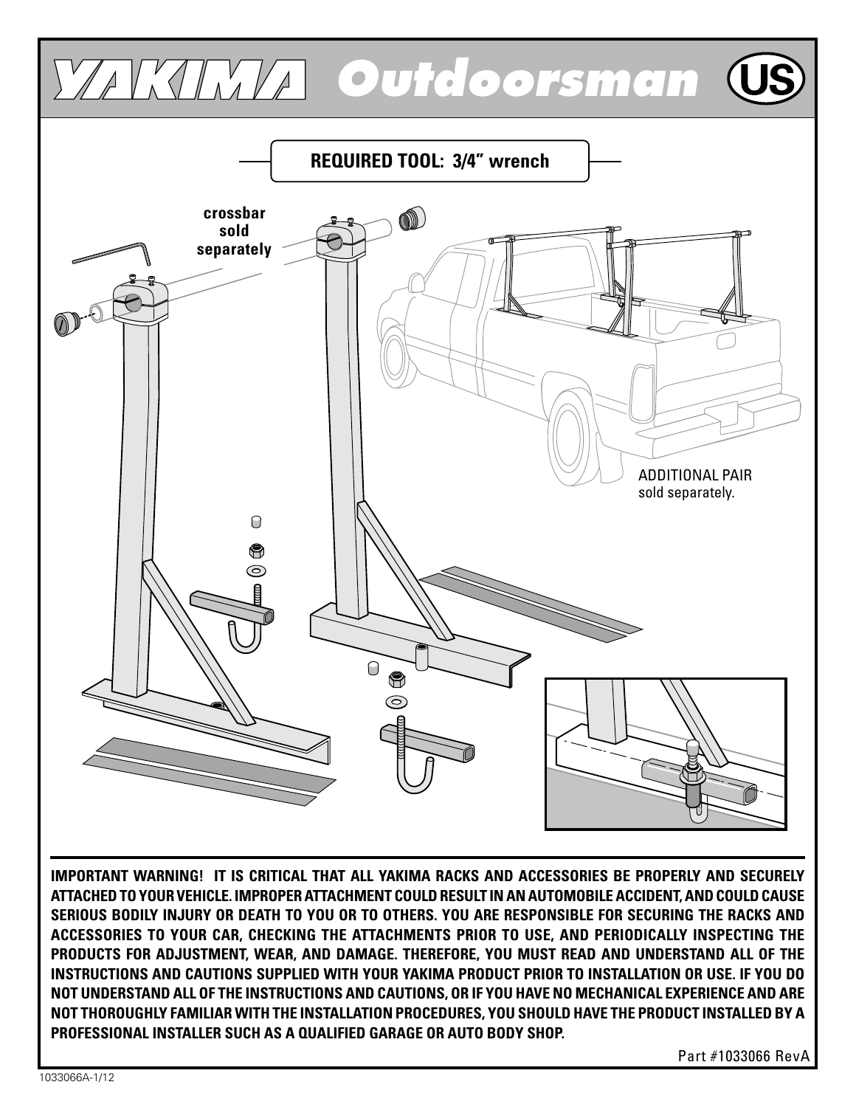

**IMPORTANT WARNING! IT IS CRITICAL THAT ALL YAKIMA RACKS AND ACCESSORIES BE PROPERLY AND SECURELY ATTACHED TO YOUR VEHICLE. IMPROPER ATTACHMENT COULD RESULT IN AN AUTOMOBILE ACCIDENT, AND COULD CAUSE SERIOUS BODILY INJURY OR DEATH TO YOU OR TO OTHERS. YOU ARE RESPONSIBLE FOR SECURING THE RACKS AND ACCESSORIES TO YOUR CAR, CHECKING THE ATTACHMENTS PRIOR TO USE, AND PERIODICALLY INSPECTING THE PRODUCTS FOR ADJUSTMENT, WEAR, AND DAMAGE. THEREFORE, YOU MUST READ AND UNDERSTAND ALL OF THE INSTRUCTIONS AND CAUTIONS SUPPLIED WITH YOUR YAKIMA PRODUCT PRIOR TO INSTALLATION OR USE. IF YOU DO NOT UNDERSTAND ALL OF THE INSTRUCTIONS AND CAUTIONS, OR IF YOU HAVE NO MECHANICAL EXPERIENCE AND ARE NOT THOROUGHLY FAMILIAR WITH THE INSTALLATION PROCEDURES, YOU SHOULD HAVE THE PRODUCT INSTALLED BY A PROFESSIONAL INSTALLER SUCH AS A QUALIFIED GARAGE OR AUTO BODY SHOP.**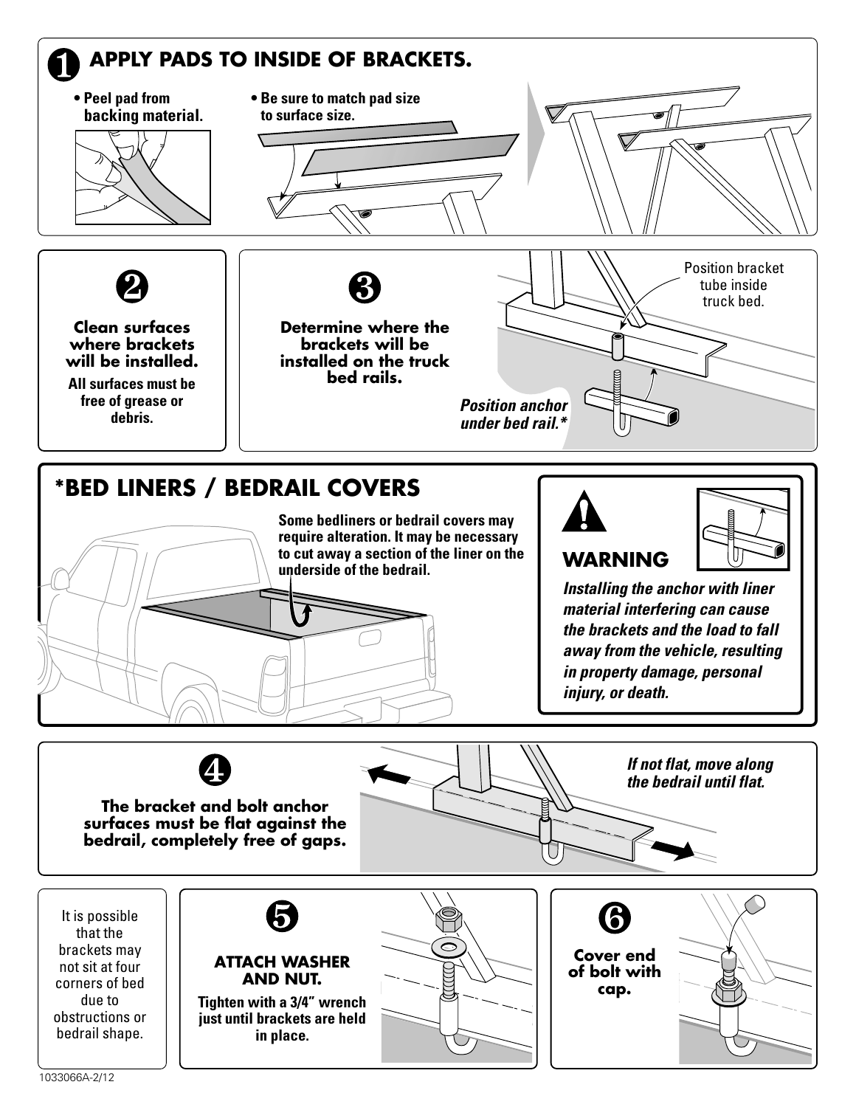

**The bracket and bolt anchor surfaces must be flat against the bedrail, completely free of gaps.**

**the bedrail until flat.**

It is possible that the brackets may not sit at four corners of bed due to obstructions or bedrail shape.



**ATTACH WASHER AND NUT.**

**Tighten with a 3/4" wrench just until brackets are held in place.**



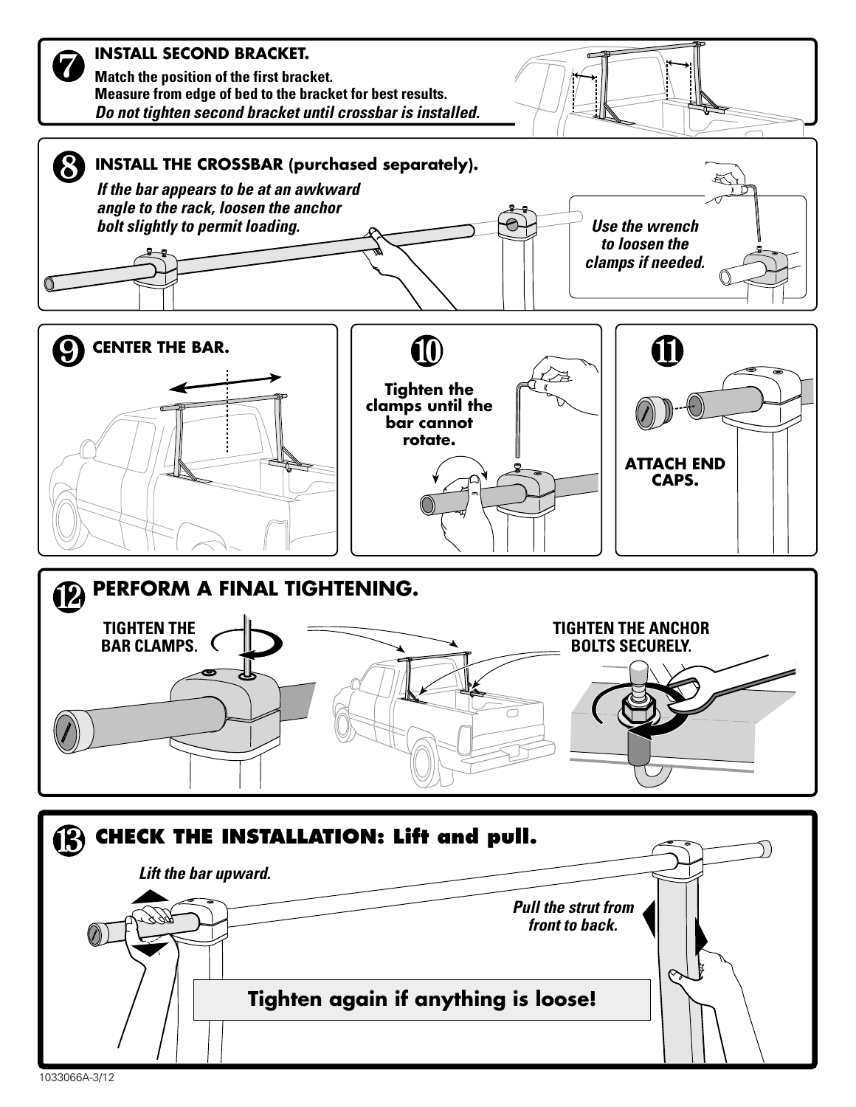

<sup>1033066</sup>A-3/12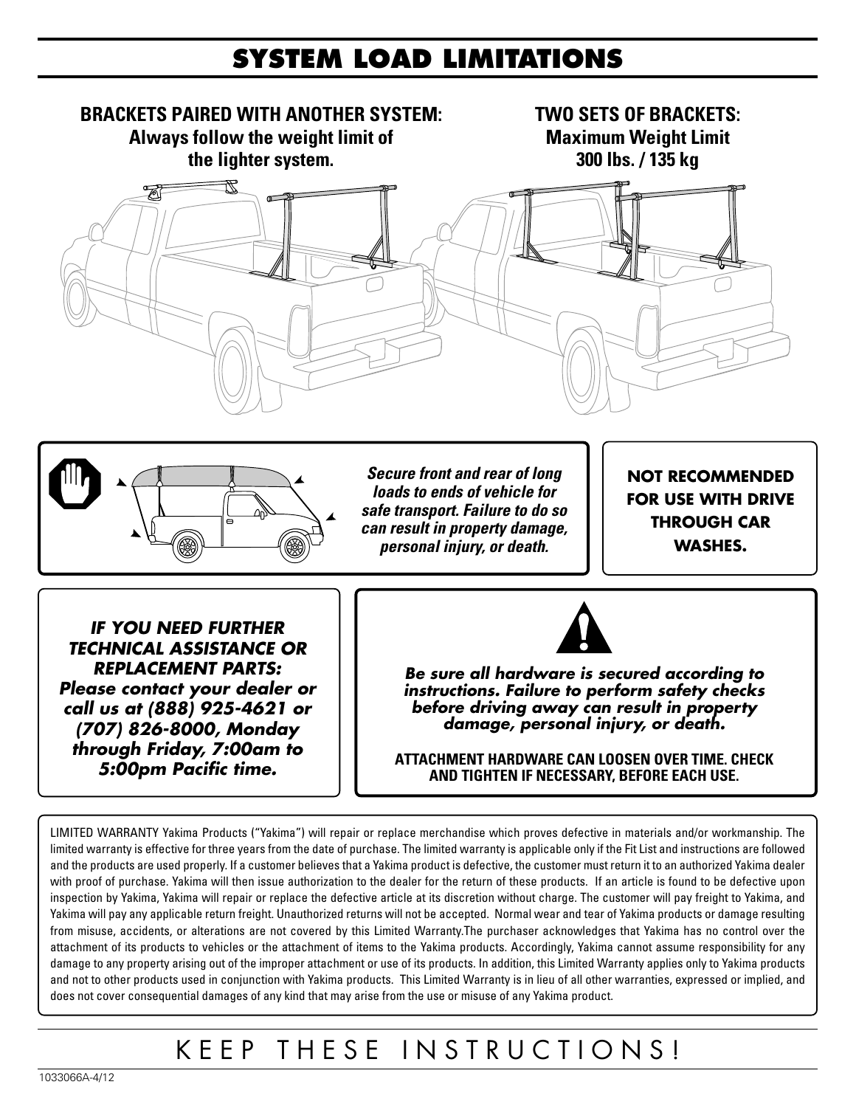#### **SYSTEM LOAD LIMITATIONS**



Yakima will pay any applicable return freight. Unauthorized returns will not be accepted. Normal wear and tear of Yakima products or damage resulting from misuse, accidents, or alterations are not covered by this Limited Warranty.The purchaser acknowledges that Yakima has no control over the attachment of its products to vehicles or the attachment of items to the Yakima products. Accordingly, Yakima cannot assume responsibility for any damage to any property arising out of the improper attachment or use of its products. In addition, this Limited Warranty applies only to Yakima products and not to other products used in conjunction with Yakima products. This Limited Warranty is in lieu of all other warranties, expressed or implied, and does not cover consequential damages of any kind that may arise from the use or misuse of any Yakima product.

## KEEP THESE INSTRUCTIONS!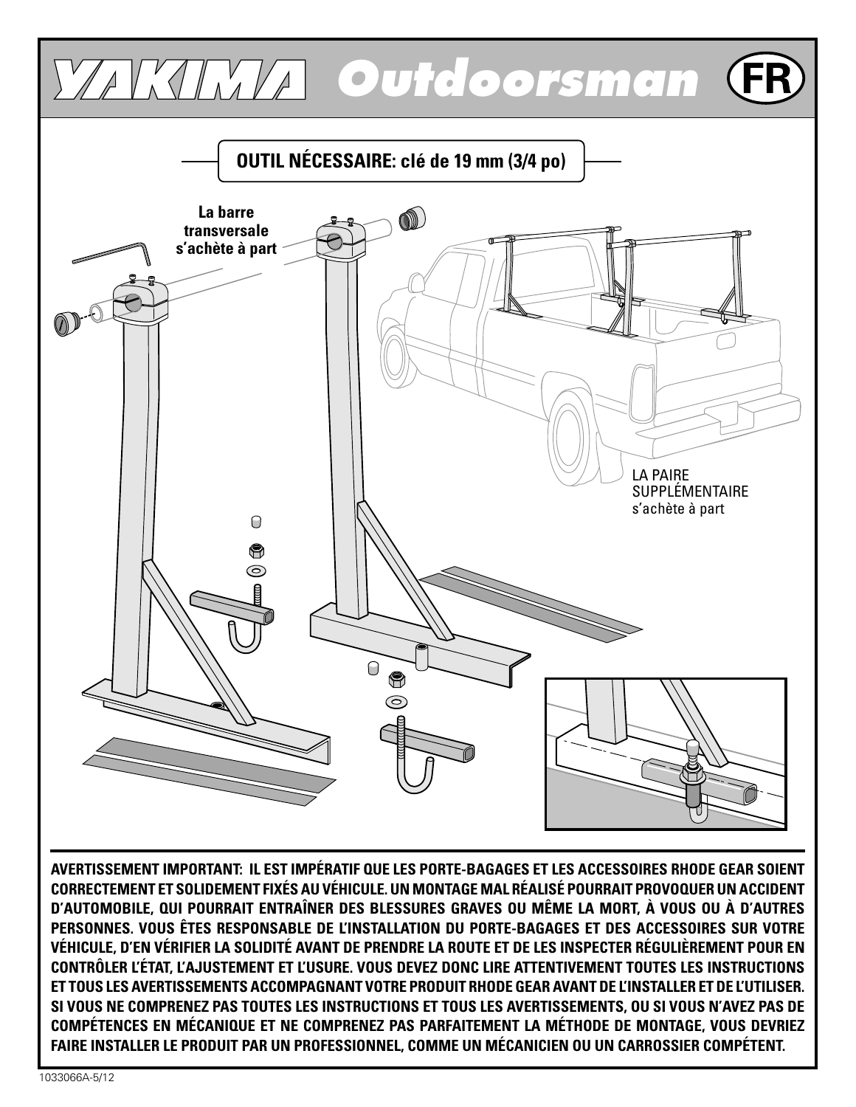

**CONTRÔLER L'ÉTAT, L'AJUSTEMENT ET L'USURE. VOUS DEVEZ DONC LIRE ATTENTIVEMENT TOUTES LES INSTRUCTIONS ET TOUS LES AVERTISSEMENTS ACCOMPAGNANT VOTRE PRODUIT RHODE GEAR AVANT DE L'INSTALLER ET DE L'UTILISER. SI VOUS NE COMPRENEZ PAS TOUTES LES INSTRUCTIONS ET TOUS LES AVERTISSEMENTS, OU SI VOUS N'AVEZ PAS DE COMPÉTENCES EN MÉCANIQUE ET NE COMPRENEZ PAS PARFAITEMENT LA MÉTHODE DE MONTAGE, VOUS DEVRIEZ FAIRE INSTALLER LE PRODUIT PAR UN PROFESSIONNEL, COMME UN MÉCANICIEN OU UN CARROSSIER COMPÉTENT.**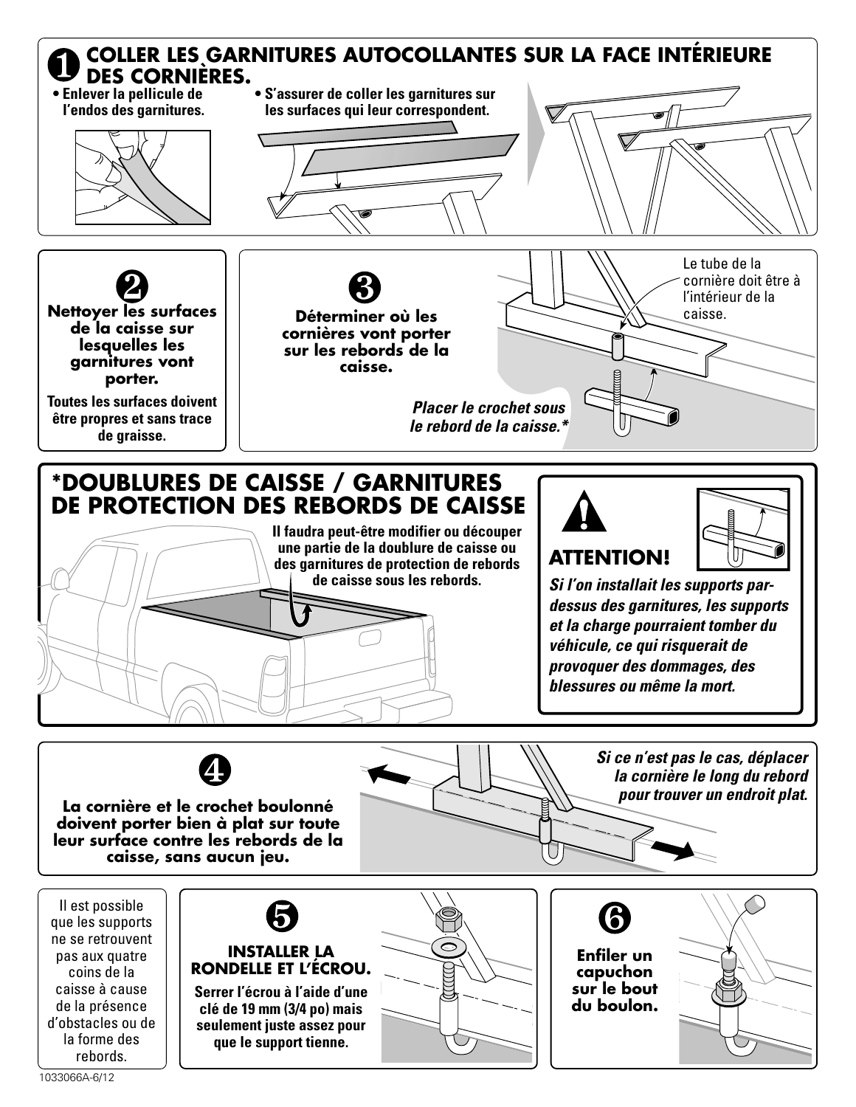



Il est possible que les supports ne se retrouvent pas aux quatre coins de la caisse à cause de la présence d'obstacles ou de la forme des rebords.









1033066A-6/12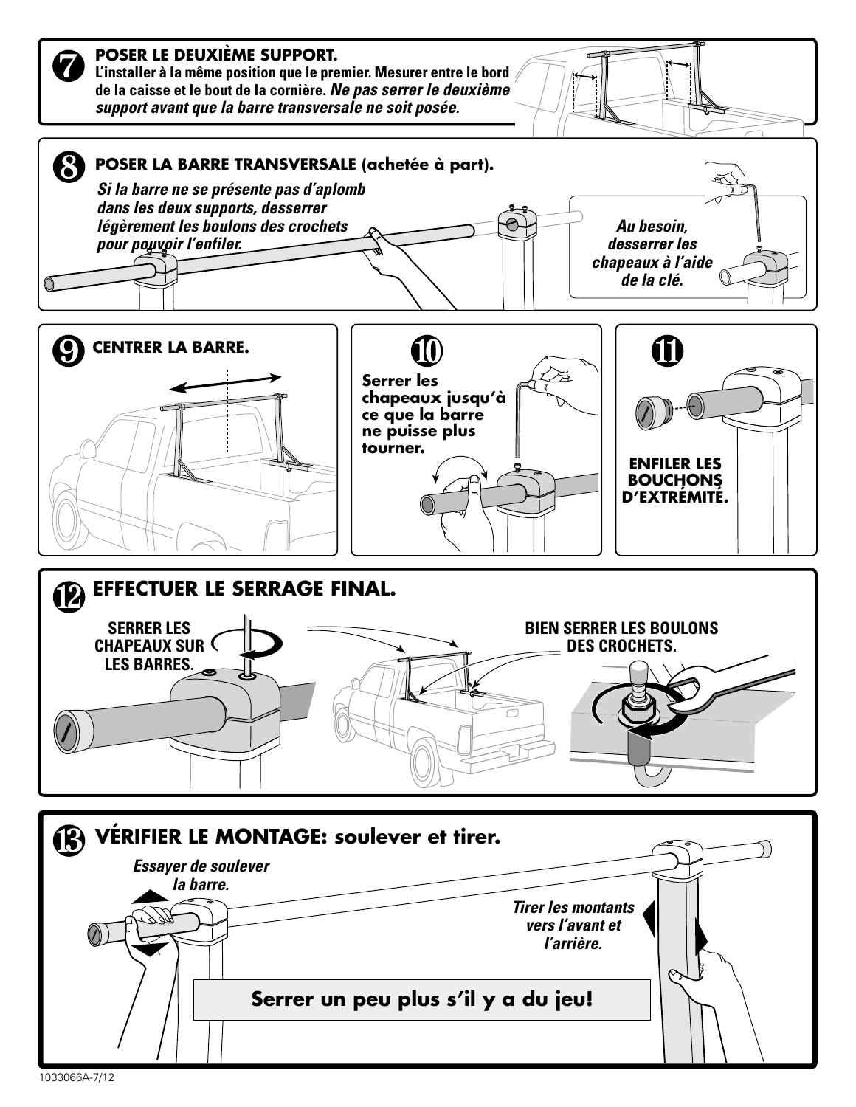

1033066A-7/12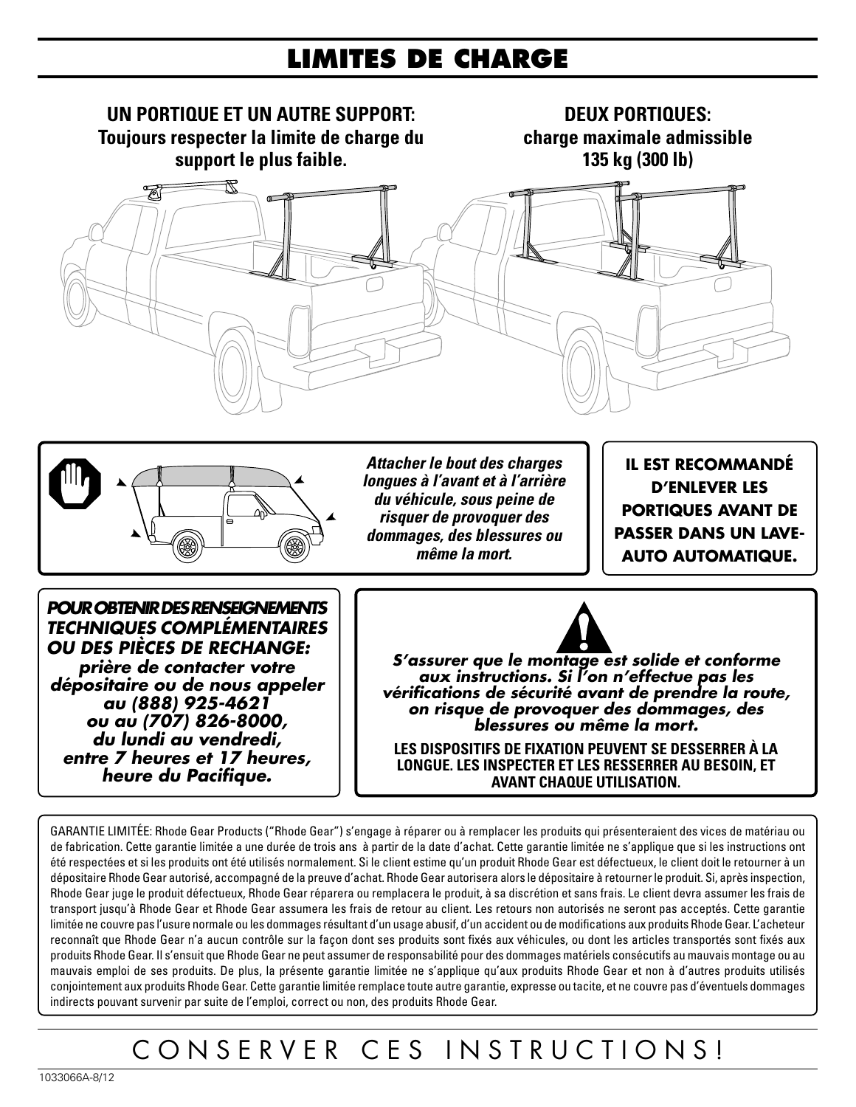#### **LIMITES DE CHARGE**





**Attacher le bout des charges longues à l'avant et à l'arrière du véhicule, sous peine de risquer de provoquer des dommages, des blessures ou même la mort.**

**IL EST RECOMMANDÉ D'ENLEVER LES PORTIQUES AVANT DE PASSER DANS UN LAVE-AUTO AUTOMATIQUE.**

**POUR OBTENIR DES RENSEIGNEMENTS TECHNIQUES COMPLÉMENTAIRES OU DES PIÈCES DE RECHANGE: prière de contacter votre dépositaire ou de nous appeler au (888) 925-4621 ou au (707) 826-8000, du lundi au vendredi, entre 7 heures et 17 heures, heure du Pacifique.**



**S'assurer que le montage est solide et conforme aux instructions. Si l'on n'effectue pas les vérifications de sécurité avant de prendre la route, on risque de provoquer des dommages, des blessures ou même la mort.**

**LES DISPOSITIFS DE FIXATION PEUVENT SE DESSERRER À LA LONGUE. LES INSPECTER ET LES RESSERRER AU BESOIN, ET AVANT CHAQUE UTILISATION.**

GARANTIE LIMITÉE: Rhode Gear Products ("Rhode Gear") s'engage à réparer ou à remplacer les produits qui présenteraient des vices de matériau ou de fabrication. Cette garantie limitée a une durée de trois ans à partir de la date d'achat. Cette garantie limitée ne s'applique que si les instructions ont été respectées et si les produits ont été utilisés normalement. Si le client estime qu'un produit Rhode Gear est défectueux, le client doit le retourner à un dépositaire Rhode Gear autorisé, accompagné de la preuve d'achat. Rhode Gear autorisera alors le dépositaire à retourner le produit. Si, après inspection, Rhode Gear juge le produit défectueux, Rhode Gear réparera ou remplacera le produit, à sa discrétion et sans frais. Le client devra assumer les frais de transport jusqu'à Rhode Gear et Rhode Gear assumera les frais de retour au client. Les retours non autorisés ne seront pas acceptés. Cette garantie limitée ne couvre pas l'usure normale ou les dommages résultant d'un usage abusif, d'un accident ou de modifications aux produits Rhode Gear. L'acheteur reconnaît que Rhode Gear n'a aucun contrôle sur la façon dont ses produits sont fixés aux véhicules, ou dont les articles transportés sont fixés aux produits Rhode Gear. Il s'ensuit que Rhode Gear ne peut assumer de responsabilité pour des dommages matériels consécutifs au mauvais montage ou au mauvais emploi de ses produits. De plus, la présente garantie limitée ne s'applique qu'aux produits Rhode Gear et non à d'autres produits utilisés conjointement aux produits Rhode Gear. Cette garantie limitée remplace toute autre garantie, expresse ou tacite, et ne couvre pas d'éventuels dommages indirects pouvant survenir par suite de l'emploi, correct ou non, des produits Rhode Gear.

# CONSERVER CES INSTRUCTIONS!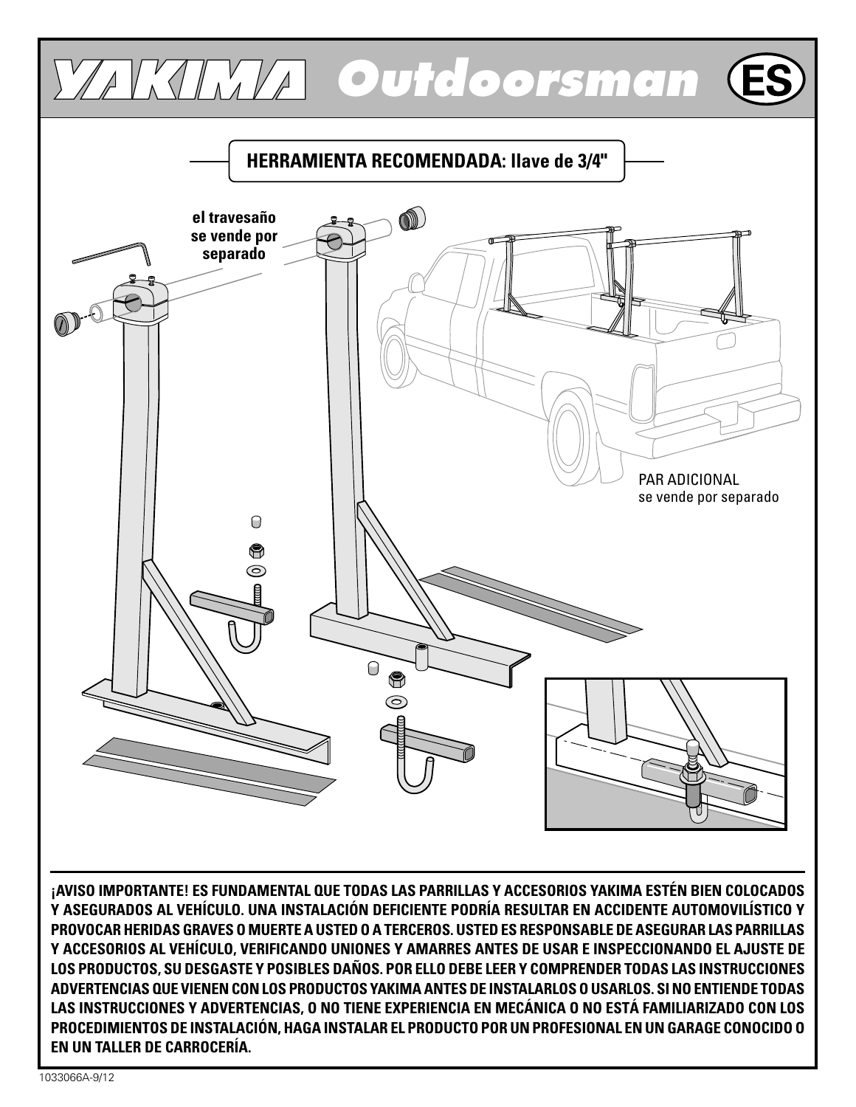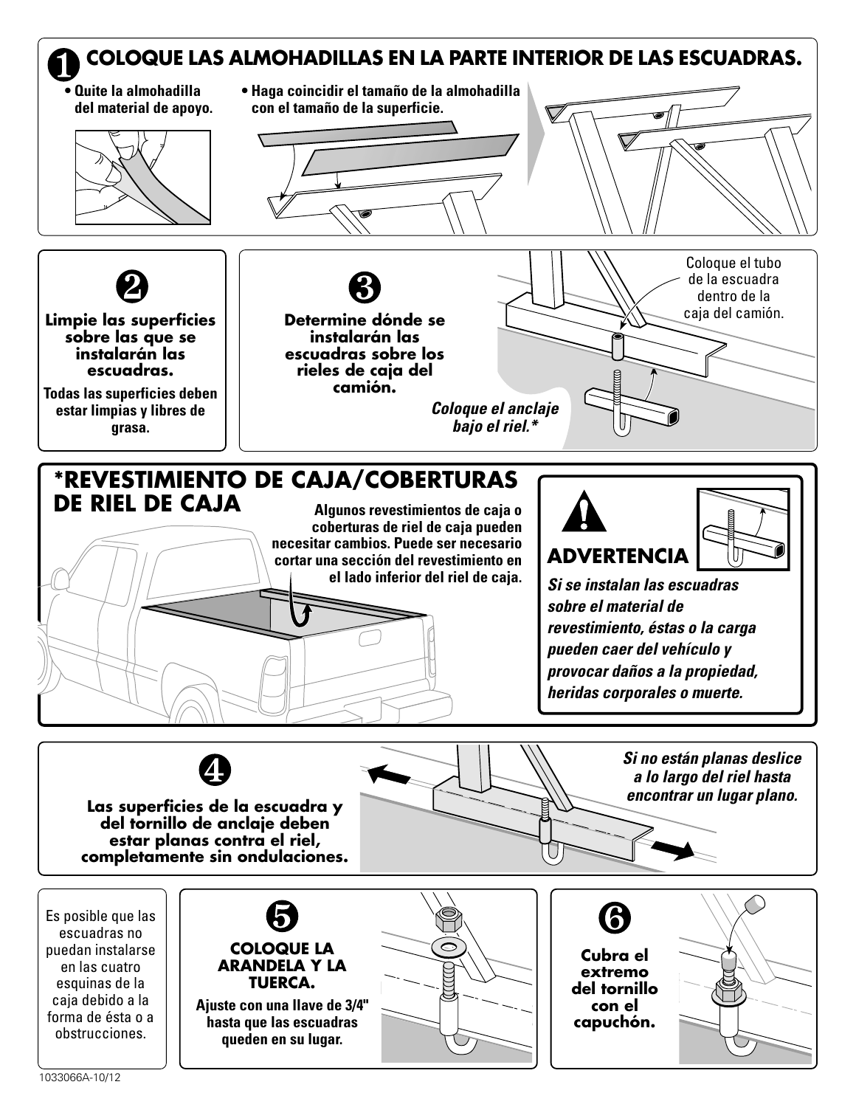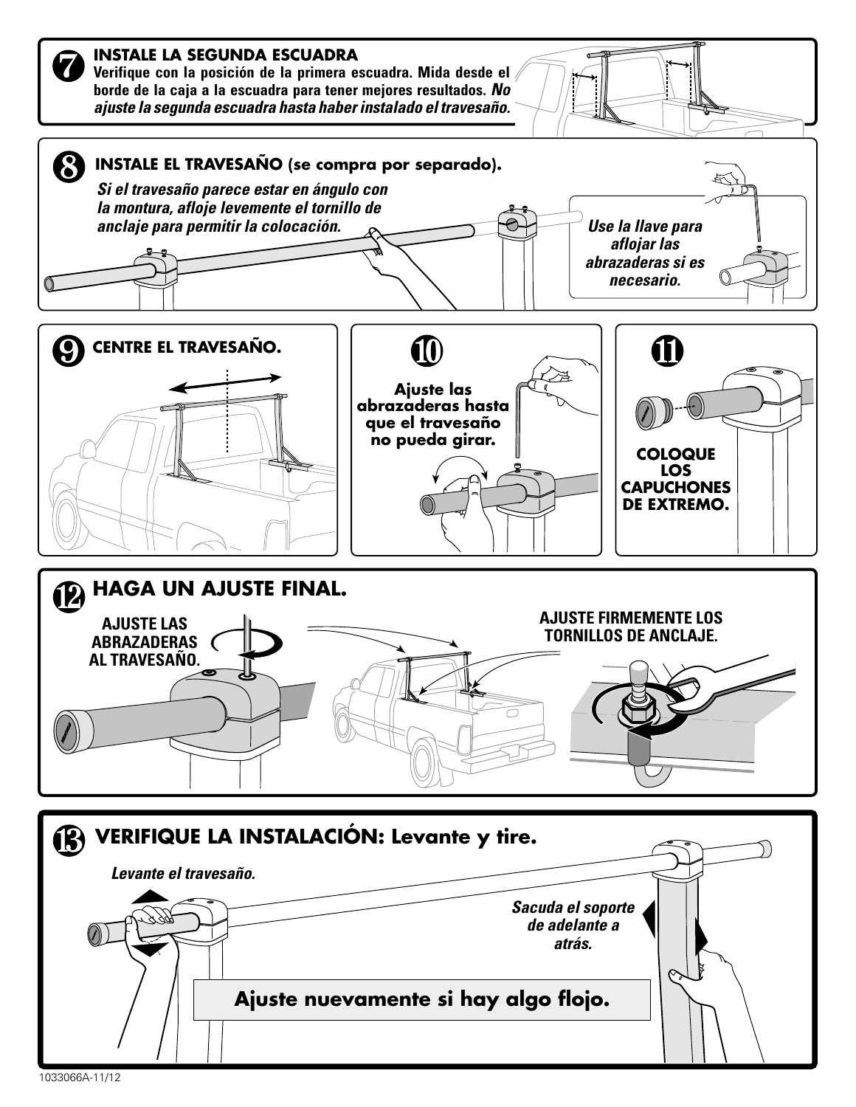

1033066A-11/12